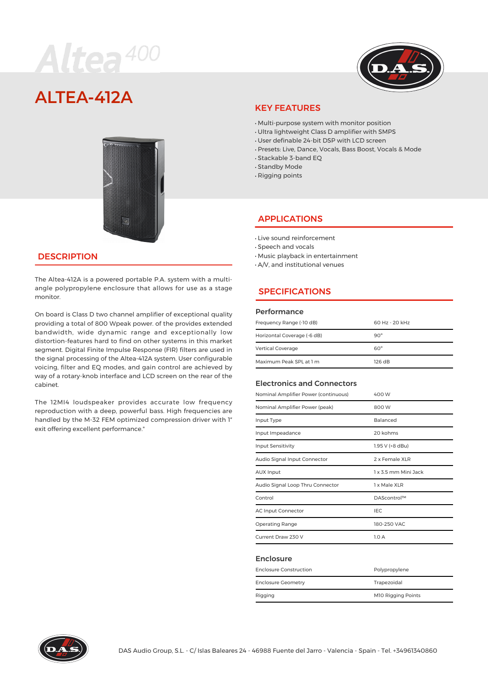# Altea<sup>400</sup>



# **AITFA-412A**



## **DESCRIPTION**

The Altea-412A is a powered portable P.A. system with a multiangle polypropylene enclosure that allows for use as a stage monitor.

On board is Class D two channel amplifier of exceptional quality providing a total of 800 Wpeak power. of the provides extended bandwidth, wide dynamic range and exceptionally low distortion-features hard to find on other systems in this market segment. Digital Finite Impulse Response (FIR) filters are used in the signal processing of the Altea-412A system. User configurable voicing, filter and EQ modes, and gain control are achieved by way of a rotary-knob interface and LCD screen on the rear of the cabinet.

The 12MI4 loudspeaker provides accurate low frequency reproduction with a deep, powerful bass. High frequencies are handled by the M-32 FEM optimized compression driver with 1″ exit offering excellent performance."

## KEY FEATURES

- · Multi-purpose system with monitor position
- · Ultra lightweight Class D amplifier with SMPS
- · User definable 24-bit DSP with LCD screen
- · Presets: Live, Dance, Vocals, Bass Boost, Vocals & Mode
- · Stackable 3-band EQ
- · Standby Mode
- · Rigging points

## APPLICATIONS

- · Live sound reinforcement
- · Speech and vocals
- · Music playback in entertainment
- · A/V, and institutional venues

# SPECIFICATIONS

#### Performance

| Frequency Range (-10 dB)    | 60 Hz - 20 kHz |
|-----------------------------|----------------|
| Horizontal Coverage (-6 dB) | $90^\circ$     |
| <b>Vertical Coverage</b>    | $60^\circ$     |
| Maximum Peak SPL at 1 m     | 126 dB         |

#### Electronics and Connectors

| Nominal Amplifier Power (continuous) | 400 W                |  |
|--------------------------------------|----------------------|--|
| Nominal Amplifier Power (peak)       | 800 W                |  |
| Input Type                           | Balanced             |  |
| Input Impeadance                     | 20 kohms             |  |
| <b>Input Sensitivity</b>             | 1.95 V (+8 dBu)      |  |
| Audio Signal Input Connector         | 2 x Female XLR       |  |
| <b>AUX Input</b>                     | 1 x 3.5 mm Mini Jack |  |
| Audio Signal Loop Thru Connector     | 1 x Male XLR         |  |
| Control                              | DAScontrol™          |  |
| <b>AC Input Connector</b>            | <b>IEC</b>           |  |
| Operating Range                      | 180-250 VAC          |  |
| Current Draw 230 V                   | 1.0A                 |  |

#### Enclosure

| <b>Enclosure Construction</b> | Polypropylene             |  |
|-------------------------------|---------------------------|--|
| <b>Enclosure Geometry</b>     | Trapezoidal               |  |
| Rigging                       | <b>M10 Rigging Points</b> |  |